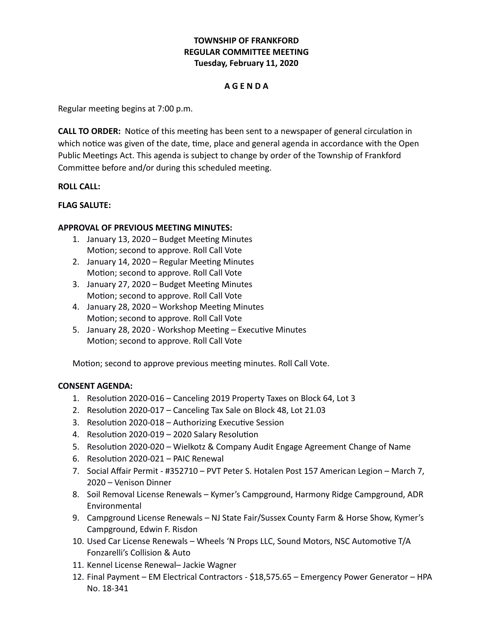# **TOWNSHIP OF FRANKFORD REGULAR COMMITTEE MEETING Tuesday, February 11, 2020**

## **A G E N D A**

Regular meeting begins at 7:00 p.m.

**CALL TO ORDER:** Notice of this meeting has been sent to a newspaper of general circulation in which notice was given of the date, time, place and general agenda in accordance with the Open Public Meetings Act. This agenda is subject to change by order of the Township of Frankford Committee before and/or during this scheduled meeting.

### **ROLL CALL:**

### **FLAG SALUTE:**

### **APPROVAL OF PREVIOUS MEETING MINUTES:**

- 1. January 13, 2020 Budget Meeting Minutes Motion; second to approve. Roll Call Vote
- 2. January 14, 2020 Regular Meeting Minutes Motion; second to approve. Roll Call Vote
- 3. January 27, 2020 Budget Meeting Minutes Motion; second to approve. Roll Call Vote
- 4. January 28, 2020 Workshop Meeting Minutes Motion; second to approve. Roll Call Vote
- 5. January 28, 2020 Workshop Meeting Executive Minutes Motion; second to approve. Roll Call Vote

Motion; second to approve previous meeting minutes. Roll Call Vote.

#### **CONSENT AGENDA:**

- 1. Resolution 2020-016 Canceling 2019 Property Taxes on Block 64, Lot 3
- 2. Resolution 2020-017 Canceling Tax Sale on Block 48, Lot 21.03
- 3. Resolution 2020-018 Authorizing Executive Session
- 4. Resolution 2020-019 2020 Salary Resolution
- 5. Resolution 2020-020 Wielkotz & Company Audit Engage Agreement Change of Name
- 6. Resolution 2020-021 PAIC Renewal
- 7. Social Affair Permit #352710 PVT Peter S. Hotalen Post 157 American Legion March 7, 2020 – Venison Dinner
- 8. Soil Removal License Renewals Kymer's Campground, Harmony Ridge Campground, ADR Environmental
- 9. Campground License Renewals NJ State Fair/Sussex County Farm & Horse Show, Kymer's Campground, Edwin F. Risdon
- 10. Used Car License Renewals Wheels 'N Props LLC, Sound Motors, NSC Automotive T/A Fonzarelli's Collision & Auto
- 11. Kennel License Renewal– Jackie Wagner
- 12. Final Payment EM Electrical Contractors \$18,575.65 Emergency Power Generator HPA No. 18-341